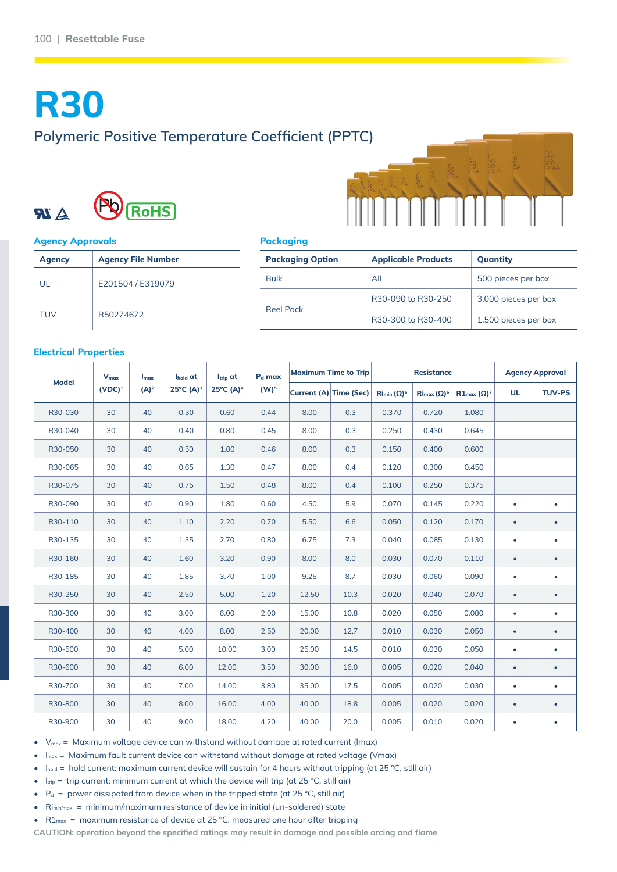# **R30 Polymeric Positive Temperature Coefficient (PPTC)**





#### **Agency Approvals**

| <b>Agency</b> | <b>Agency File Number</b> |
|---------------|---------------------------|
| UL            | E201504 / E319079         |
| <b>TUV</b>    | R50274672                 |

#### **Packaging**

| <b>Packaging Option</b> | <b>Applicable Products</b> | Quantity             |  |  |
|-------------------------|----------------------------|----------------------|--|--|
| <b>Bulk</b>             | All                        | 500 pieces per box   |  |  |
|                         | R30-090 to R30-250         | 3,000 pieces per box |  |  |
| <b>Reel Pack</b>        | R30-300 to R30-400         | 1,500 pieces per box |  |  |

#### **Electrical Properties**

| <b>Model</b> | <b>V<sub>max</sub></b><br>$(VDC)^1$ | Imax<br>$(A)^2$ | Ihold at<br>$25^{\circ}C(A)^{3}$ | Itrip at<br>$25^{\circ}C(A)^{4}$ | P <sub>d</sub> max<br>$(W)^5$ | <b>Maximum Time to Trip</b> |                               | <b>Resistance</b>                           |                                         |                              | <b>Agency Approval</b> |               |
|--------------|-------------------------------------|-----------------|----------------------------------|----------------------------------|-------------------------------|-----------------------------|-------------------------------|---------------------------------------------|-----------------------------------------|------------------------------|------------------------|---------------|
|              |                                     |                 |                                  |                                  |                               |                             | <b>Current (A) Time (Sec)</b> | $\operatorname{Rim}_{\text{min}}(\Omega)^6$ | $\operatorname{Rim}_{\alpha}(\Omega)^6$ | $R1_{\text{max}} (\Omega)^7$ | <b>UL</b>              | <b>TUV-PS</b> |
| R30-030      | 30                                  | 40              | 0.30                             | 0.60                             | 0.44                          | 8.00                        | 0.3                           | 0.370                                       | 0.720                                   | 1.080                        |                        |               |
| R30-040      | 30                                  | 40              | 0.40                             | 0.80                             | 0.45                          | 8.00                        | 0.3                           | 0.250                                       | 0.430                                   | 0.645                        |                        |               |
| R30-050      | 30                                  | 40              | 0.50                             | 1.00                             | 0.46                          | 8.00                        | 0.3                           | 0.150                                       | 0.400                                   | 0.600                        |                        |               |
| R30-065      | 30                                  | 40              | 0.65                             | 1.30                             | 0.47                          | 8.00                        | 0.4                           | 0.120                                       | 0.300                                   | 0.450                        |                        |               |
| R30-075      | 30                                  | 40              | 0.75                             | 1.50                             | 0.48                          | 8.00                        | 0.4                           | 0.100                                       | 0.250                                   | 0.375                        |                        |               |
| R30-090      | 30                                  | 40              | 0.90                             | 1.80                             | 0.60                          | 4.50                        | 5.9                           | 0.070                                       | 0.145                                   | 0.220                        | $\bullet$              | ٠             |
| R30-110      | 30                                  | 40              | 1.10                             | 2.20                             | 0.70                          | 5.50                        | 6.6                           | 0.050                                       | 0.120                                   | 0.170                        | $\bullet$              | $\bullet$     |
| R30-135      | 30                                  | 40              | 1.35                             | 2.70                             | 0.80                          | 6.75                        | 7.3                           | 0.040                                       | 0.085                                   | 0.130                        | $\bullet$              | ٠             |
| R30-160      | 30                                  | 40              | 1.60                             | 3.20                             | 0.90                          | 8.00                        | 8.0                           | 0.030                                       | 0.070                                   | 0.110                        | $\bullet$              | ٠             |
| R30-185      | 30                                  | 40              | 1.85                             | 3.70                             | 1.00                          | 9.25                        | 8.7                           | 0.030                                       | 0.060                                   | 0.090                        | $\bullet$              | ٠             |
| R30-250      | 30                                  | 40              | 2.50                             | 5.00                             | 1.20                          | 12.50                       | 10.3                          | 0.020                                       | 0.040                                   | 0.070                        | $\bullet$              | ٠             |
| R30-300      | 30                                  | 40              | 3.00                             | 6.00                             | 2.00                          | 15.00                       | 10.8                          | 0.020                                       | 0.050                                   | 0.080                        | $\bullet$              | ٠             |
| R30-400      | 30                                  | 40              | 4.00                             | 8.00                             | 2.50                          | 20.00                       | 12.7                          | 0.010                                       | 0.030                                   | 0.050                        | $\bullet$              | $\bullet$     |
| R30-500      | 30                                  | 40              | 5.00                             | 10.00                            | 3.00                          | 25.00                       | 14.5                          | 0.010                                       | 0.030                                   | 0.050                        | $\bullet$              | ٠             |
| R30-600      | 30                                  | 40              | 6.00                             | 12.00                            | 3.50                          | 30.00                       | 16.0                          | 0.005                                       | 0.020                                   | 0.040                        | $\bullet$              | ٠             |
| R30-700      | 30                                  | 40              | 7.00                             | 14.00                            | 3.80                          | 35.00                       | 17.5                          | 0.005                                       | 0.020                                   | 0.030                        | ٠                      | ٠             |
| R30-800      | 30                                  | 40              | 8.00                             | 16.00                            | 4.00                          | 40.00                       | 18.8                          | 0.005                                       | 0.020                                   | 0.020                        | $\bullet$              | $\bullet$     |
| R30-900      | 30                                  | 40              | 9.00                             | 18.00                            | 4.20                          | 40.00                       | 20.0                          | 0.005                                       | 0.010                                   | 0.020                        | $\bullet$              |               |

 $V_{\text{max}}$  = Maximum voltage device can withstand without damage at rated current (Imax)

 $I_{\text{max}}$  = Maximum fault current device can withstand without damage at rated voltage (Vmax)

- Ihold = hold current: maximum current device will sustain for 4 hours without tripping (at 25 °C, still air)
- $I_{\text{trip}}$  = trip current: minimum current at which the device will trip (at 25 °C, still air)
- $P_d$  = power dissipated from device when in the tripped state (at 25 °C, still air)
- Rimin/max = minimum/maximum resistance of device in initial (un-soldered) state
- $R1_{\text{max}}$  = maximum resistance of device at 25 °C, measured one hour after tripping

**CAUTION: operation beyond the specified ratings may result in damage and possible arcing and flame**